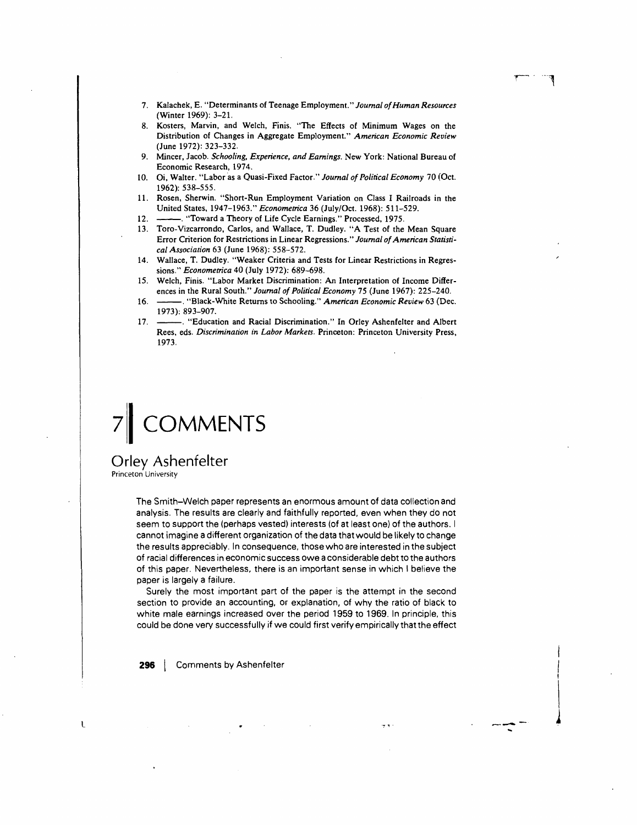- 7. Kalachek, E. "Determinants of Teenage Employment." Journal of Human Resources (Winter 1969): 3-21.
- 8. Kosters, Marvin, and Welch, Finis. "The Effects of Minimum Wages on the Distribution of Changes in Aggregate Employment." American Economic Review (June 1972): 323-332.
- 9. Mincer, Jacob. Schooling, Experience, and Earnings. New York: National Bureau of Economic Research, 1974.
- 10. Oi, Walter. "Labor as a Quasi-Fixed Factor." Journal of Political Economy 70 (Oct. 1962): 538-555.
- 11. Rosen, Sherwin. "Short-Run Employment Variation on Class I Railroads in the United States, 1947-1963." Econometrica 36 (July/Oct. 1968): 511-529.
- $12.$ -. "Toward a Theory of Life Cycle Earnings." Processed, 1975.
- 13. Toro-Vizcarrondo, Carlos, and Wallace, T. Dudley. "A Test of the Mean Square Error Criterion for Restrictions in Linear Regressions." Journal of American Statistical Association 63 (June 1968): 558-572.
- 14. Wallace, T. Dudley. "Weaker Criteria and Tests for Linear Restrictions in Regressions." Econometrica 40 (July 1972): 689-698.
- $15.$ Welch, Finis. "Labor Market Discrimination: An Interpretation of Income Differences in the Rural South." Journal of Political Economy 75 (June 1967): 225-240.
- 16. - "Black-White Returns to Schooling." American Economic Review 63 (Dec. 1973): 893-907.
- 17. ------- "Education and Racial Discrimination." In Orley Ashenfelter and Albert Rees, eds. Discrimination in Labor Markets. Princeton: Princeton University Press, 1973.

# 7 COMMENTS

## **Orley Ashenfelter**

Princeton University

The Smith–Welch paper represents an enormous amount of data collection and analysis. The results are clearly and faithfully reported, even when they do not seem to support the (perhaps vested) interests (of at least one) of the authors. I cannot imagine a different organization of the data that would be likely to change the results appreciably. In consequence, those who are interested in the subject of racial differences in economic success owe a considerable debt to the authors of this paper. Nevertheless, there is an important sense in which I believe the paper is largely a failure.

Surely the most important part of the paper is the attempt in the second section to provide an accounting, or explanation, of why the ratio of black to white male earnings increased over the period 1959 to 1969. In principle, this could be done very successfully if we could first verify empirically that the effect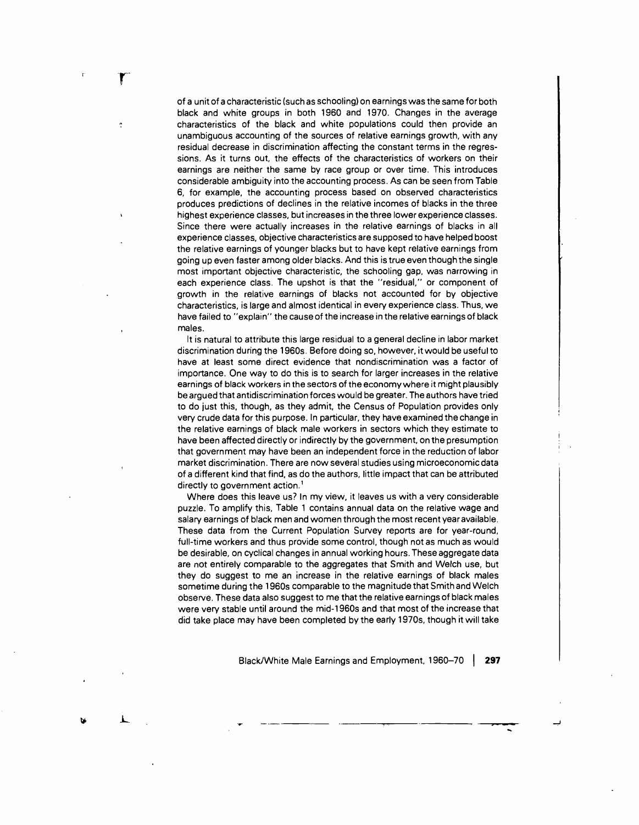of a unit of a characteristic (such as schooling) on earnings was the same for both black and white groups in both 1960 and 1970. Changes in the average characteristics of the black and white populations could then provide an unambiguous accounting of the sources of relative earnings growth, with any residual decrease in discrimination affecting the constant terms in the regressions. As it turns out, the effects of the characteristics of workers on their earnings are neither the same by race group or over time. This introduces considerable ambiguity into the accounting process. As can be seen from Table 6, for example, the accounting process based on observed characteristics produces predictions of declines in the relative incomes of blacks in the three highest experience classes, but increases in the three lower experience classes. Since there were actually increases in the relative earnings of blacks in all experience classes, objective characteristics are supposed to have helped boost the relative earnings of younger blacks but to have kept relative earnings from going up even faster among older blacks. And this is true even though the single most important objective characteristic, the schooling gap, was narrowing in each experience class. The upshot is that the 'residual," or component of growth in the relative earnings of blacks not accounted for by objective characteristics, is large and almost identical in every experience class. Thus, we have failed to "explain" the cause of the increase in the relative earnings of black males.

**T** 

ł

It is natural to attribute this large residual to a general decline in labor market discrimination during the 1960s. Before doing so, however, it would be useful to have at least some direct evidence that nondiscrimination was a factor of importance. One way to do this is to search for larger increases in the relative earnings of black workers in the sectors of the economy where it might plausibly be argued that antidiscrimination forces would be greater. The authors have tried to do just this, though, as they admit, the Census of Population provides only very crude data for this purpose. In particular, they have examined the change in the relative earnings of black male workers in sectors which they estimate to have been affected directly or indirectly by the government, on the presumption that government may have been an independent force in the reduction of labor market discrimination. There are now several studies using microeconomic data of a different kind that find, as do the authors, little impact that can be attributed directly to government action.<sup>1</sup>

Where does this leave us? In my view, it leaves us with a very considerable puzzle. To amplify this, Table 1 contains annual data on the relative wage and salary earnings of black men and women through the most recent year available. These data from the Current Population Survey reports are for year-round, full-time workers and thus provide some control, though not as much as would be desirable, on cyclical changes in annual working hours. These aggregate data are not entirely comparable to the aggregates that Smith and Welch use, but they do suggest to me an increase in the relative earnings of black males sometime during the 1960s comparable to the magnitude that Smith and Welch observe. These data also suggest to me that the relative earnings of black males were very stable until around the mid-1960s and that most of the increase that did take place may have been completed by the early 1 970s, though it will take

 $\overline{a}$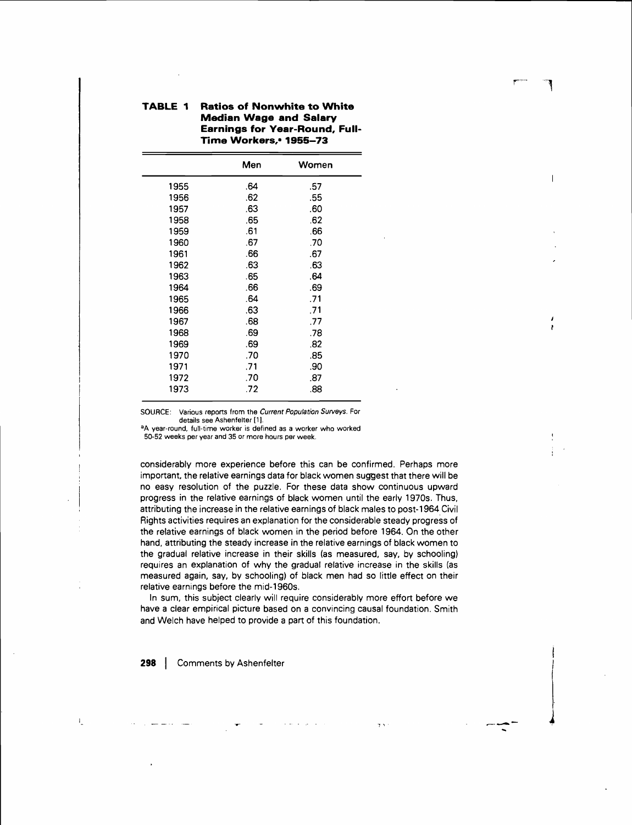### TABLE I Ratios of Nonwhite to White Median Wage and Salary Earnings for Year-Round, Full-Time Workers,• 1955—73

|      | Men | Women |
|------|-----|-------|
| 1955 | .64 | .57   |
| 1956 | .62 | .55   |
| 1957 | .63 | .60   |
| 1958 | .65 | .62   |
| 1959 | .61 | .66   |
| 1960 | .67 | .70   |
| 1961 | .66 | .67   |
| 1962 | .63 | .63   |
| 1963 | .65 | .64   |
| 1964 | .66 | .69   |
| 1965 | .64 | .71   |
| 1966 | .63 | .71   |
| 1967 | .68 | .77   |
| 1968 | .69 | .78   |
| 1969 | .69 | .82   |
| 1970 | .70 | .85   |
| 1971 | .71 | .90   |
| 1972 | .70 | .87   |
| 1973 | .72 | .88   |

SOURCE: Various reports from the Current Population Surveys. For details see Ashenfelter [1].

aA year-round, full-time worker is defined as a worker who worked 50-52 weeks per year and 35 or more hours per week.

considerably more experience before this can be confirmed. Perhaps more important, the relative earnings data for black women suggest that there will be no easy resolution of the puzzle. For these data show continuous upward progress in the relative earnings of black women until the early 1970s. Thus, attributing the increase in the relative earnings of black males to post-1964 Civil Rights activities requires an explanation for the considerable steady progress of the relative earnings of black women in the period before 1964. On the other hand, attributing the steady increase in the relative earnings of black women to the gradual relative increase in their skills (as measured, say, by schooling) requires an explanation of why the gradual relative increase in the skills las measured again, say, by schooling) of black men had so little effect on their relative earnings before the mid-1960s.

In sum, this subject clearly will require considerably more effort before we have a clear empirical picture based on a convincing causal foundation. Smith and Welch have helped to provide a part of this foundation.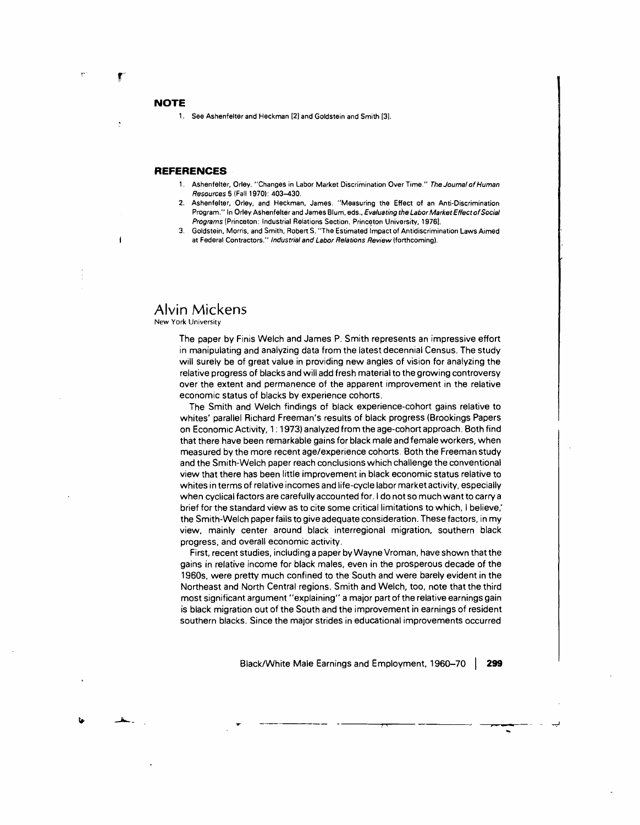#### **NOTE**

<sup>r</sup> r

ł

1. See Ashenfelter and Heckman [2] and Goldstein and Smith [3].

#### REFERENCES

- 1. Ashenfelter, Orley. "Changes in Labor Market Discrimination Over Time." The Journal of Human Resources 5 (Fall 1970): 403—430.
- 2. Ashenfelter. Orley, and Heckman. James. "Measuring the Effect of an Anti-Discrimination Program," In Orley Ashenfelter and James Blum. eds., Evaluating the Labor Market Effect of Social Programs (Princeton: Industrial Relations Section, Princeton University. 1976].
- 3. Goldstein, Morris, and Smith, Robert S. The Estimated Impact of Antidiscrimination Laws Aimed at Federal Contractors." Industrial and Labor Relations Review (forthcoming).

## Alvin Mickens

New York University

The paper by Finis Welch and James P. Smith represents an impressive effort in manipulating and analyzing data from the latest decennial Census. The study will surely be of great value in providing new angles of vision for analyzing the relative progress of blacks and will add fresh material to the growing controversy over the extent and permanence of the apparent improvement in the relative economic status of blacks by experience cohorts.

The Smith and Welch findings of black experience-cohort gains relative to whites' parallel Richard Freeman's results of black progress (Brookings Papers on Economic Activity, 1: 1973) analyzed from the age-cohort approach. Both find that there have been remarkable gains for black male and female workers, when measured by the more recent age/experience cohorts. Both the Freeman study and the Smith-Welch paper reach conclusions which challenge the conventional view that there has been little improvement in black economic status relative to whites in terms of relative incomes and life-cycle labor market activity, especially when cyclical factors are carefully accounted for. I do not so much want to carry a brief for the standard view as to cite some critical limitations to which, I believe: the Smith-Welch paper fails to give adequate consideration. These factors, in my view, mainly center around black interregional migration, southern black progress, and overall economic activity.

First, recent studies, including a paper by Wayne Vroman, have shown that the gains in relative income for black males, even in the prosperous decade of the 1960s, were pretty much confined to the South and were barely evident in the Northeast and North Central regions. Smith and Welch, too, note that the third most significant argument "explaining" a major part of the relative earnings gain is black migration out of the South and the improvement in earnings of resident southern blacks. Since the major strides in educational improvements occurred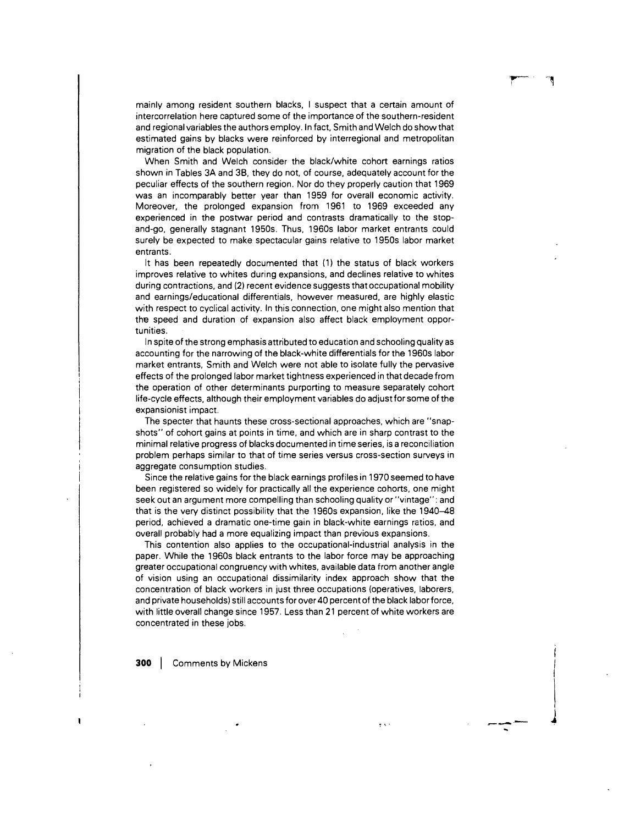mainly among resident southern blacks, <sup>I</sup> suspect that a certain amount of intercorrelation here captured some of the importance of the southern-resident and regional variables the authors employ. In fact, Smith and Welch do show that estimated gains by blacks were reinforced by interregional and metropolitan migration of the black population.

When Smith and Welch consider the black/white cohort earnings ratios shown in Tables 3A and 3B, they do not, of course, adequately account for the peculiar effects of the southern region. Nor do they properly caution that 1969 was an incomparably better year than 1959 for overall economic activity. Moreover, the prolonged expansion from 1961 to 1969 exceeded any experienced in the postwar period and contrasts dramatically to the stopand-go, generally stagnant 1950s. Thus, 1960s labor market entrants could surely be expected to make spectacular gains relative to 1950s labor market entrants.

It has been repeatedly documented that (1) the status of black workers improves relative to whites during expansions, and declines relative to whites during contractions, and (2) recent evidence suggests that occupational mobility and earnings/educational differentials, however measured, are highly elastic with respect to cyclical activity, In this connection, one might also mention that the speed and duration of expansion also affect black employment opportunities.

In spite of the strong emphasis attributed to education and schooling quality as accounting for the narrowing of the black-white differentials for the 1960s labor market entrants, Smith and Welch were not able to isolate fully the pervasive effects of the prolonged labor market tightness experienced in that decade from the operation of other determinants purporting to measure separately cohort life-cycle effects, although their employment variables do adjust for some of the expansionist impact.

The specter that haunts these cross-sectional approaches, which are "snapshots" of cohort gains at points in time, and which are in sharp contrast to the minimal relative progress of blacks documented in time series, is a reconciliation problem perhaps similar to that of time series versus cross-section surveys in aggregate consumption studies.

Since the relative gains for the black earnings profiles in 1970 seemed to have been registered so widely for practically all the experience cohorts, one might seek out an argument more compelling than schooling quality or "vintage": and that is the very distinct possibility that the 1960s expansion, like the 1940-48 period, achieved a dramatic one-time gain in black-white earnings ratios, and overall probably had a more equalizing impact than previous expansions.

This contention also applies to the occupational-industrial analysis in the paper. While the 1960s black entrants to the labor force may be approaching greater occupational congruency with whites, available data from another angle of vision using an occupational dissimilarity index approach show that the concentration of black workers in just three occupations (operatives, laborers, and private households) still accounts for over 40 percent of the black labor force, with little overall change since 1957. Less than 21 percent of white workers are concentrated in these jobs.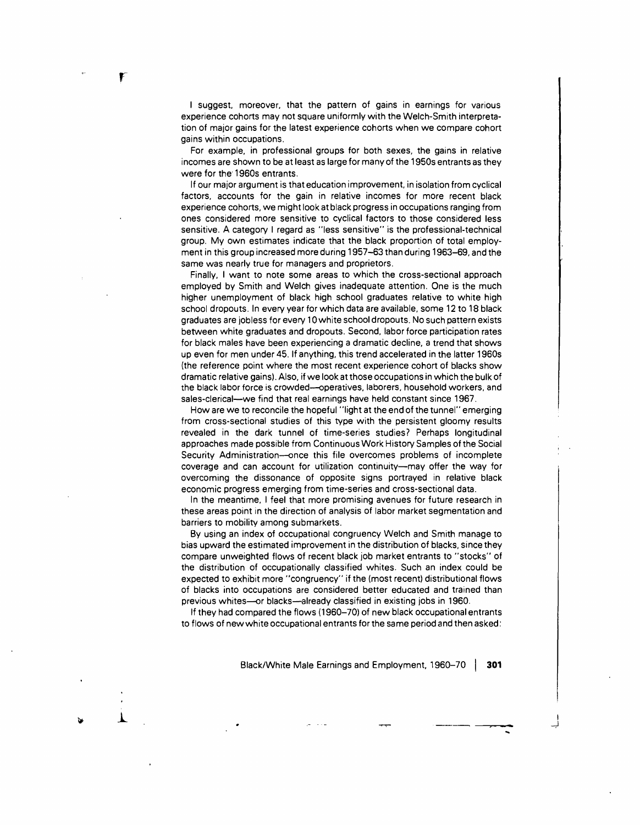I suggest, moreover, that the pattern of gains in earnings for various experience cohorts may not square uniformly with the Welch-Smith interpretation of major gains for the latest experience cohorts when we compare cohort gains within occupations.

r<sub>a</sub>

 $\frac{1}{1}$ 

For example, in professional groups for both sexes, the gains in relative incomes are shown to be at least as large for many of the 1 950s entrants as they were for the 1960s entrants.

If our major argument is that education improvement, in isolation from cyclical factors, accounts for the gain in relative incomes for more recent black experience cohorts, we might look at black progress in occupations ranging from ones considered more sensitive to cyclical factors to those considered less sensitive. A category I regard as "less sensitive" is the professional-technical group. My own estimates indicate that the black proportion of total employment in this group increased more during 1957—63 than during 1963—69, and the same was nearly true for managers and proprietors.

Finally, I want to note some areas to which the cross-sectional approach employed by Smith and Welch gives inadequate attention. One is the much higher unemployment of black high school graduates relative to white high school dropouts. In every year for which data are available, some 12 to 18 black graduates are jobless for every 10 white school dropouts. No such pattern exists between white graduates and dropouts. Second, labor force participation rates for black males have been experiencing a dramatic decline, a trend that shows up even for men under 45. If anything, this trend accelerated in the latter 1 960s (the reference point where the most recent experience cohort of blacks show dramatic relative gains). Also, if we look at those occupations in which the bulk of the black labor force is crowded—operatives, laborers, household workers, and sales-clerical-—we find that real earnings have held constant since 1967.

How are we to reconcile the hopeful "light at the end of the tunnel" emerging from cross-sectional studies of this type with the persistent gloomy results revealed in the dark tunnel of time-series studies? Perhaps longitudinal approaches made possible from Continuous Work History Samples of the Social Security Administration—once this file overcomes problems of incomplete coverage and can account for utilization continuity—may offer the way for overcoming the dissonance of opposite signs portrayed in relative black economic progress emerging from time-series and cross-sectional data.

In the meantime, I feel that more promising avenues for future research in these areas point in the direction of analysis of labor market segmentation and barriers to mobility among submarkets.

By using an index of occupational congruency Welch and Smith manage to bias upward the estimated improvement in the distribution of blacks, since they compare unweighted flows of recent black job market entrants to "stocks" of the distribution of occupationally classified whites. Such an index could be expected to exhibit more "congruency" if the (most recent) distributional flows of blacks into occupations are considered better educated and trained than previous whites—or blacks—already classified in existing jobs in 1960.

If they had compared the flows (1960—70) of new black occupational entrants to flows of new white occupational entrants for the same period and then asked: